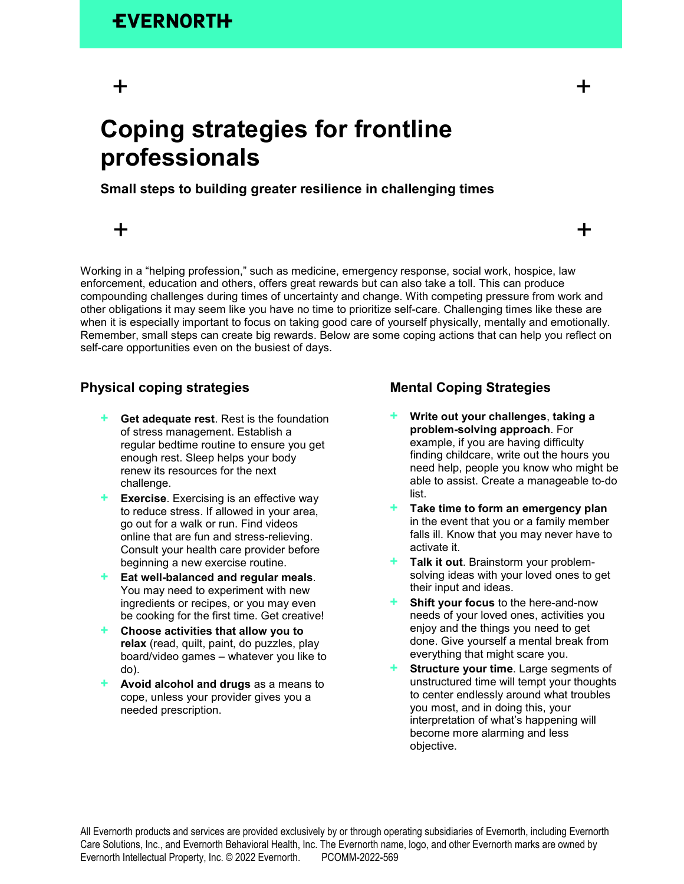# $+$   $+$

## **Coping strategies for frontline professionals**

### **Small steps to building greater resilience in challenging times**

# $+$  +  $+$

Working in a "helping profession," such as medicine, emergency response, social work, hospice, law enforcement, education and others, offers great rewards but can also take a toll. This can produce compounding challenges during times of uncertainty and change. With competing pressure from work and other obligations it may seem like you have no time to prioritize self-care. Challenging times like these are when it is especially important to focus on taking good care of yourself physically, mentally and emotionally. Remember, small steps can create big rewards. Below are some coping actions that can help you reflect on self-care opportunities even on the busiest of days.

### **Physical coping strategies**

- **+ Get adequate rest**. Rest is the foundation of stress management. Establish a regular bedtime routine to ensure you get enough rest. Sleep helps your body renew its resources for the next challenge.
- **+ Exercise**. Exercising is an effective way to reduce stress. If allowed in your area, go out for a walk or run. Find videos online that are fun and stress-relieving. Consult your health care provider before beginning a new exercise routine.
- **+ Eat well-balanced and regular meals**. You may need to experiment with new ingredients or recipes, or you may even be cooking for the first time. Get creative!
- **+ Choose activities that allow you to relax** (read, quilt, paint, do puzzles, play board/video games – whatever you like to do).
- **+ Avoid alcohol and drugs** as a means to cope, unless your provider gives you a needed prescription.

### **Mental Coping Strategies**

- **+ Write out your challenges**, **taking a problem-solving approach**. For example, if you are having difficulty finding childcare, write out the hours you need help, people you know who might be able to assist. Create a manageable to-do list.
- **+ Take time to form an emergency plan** in the event that you or a family member falls ill. Know that you may never have to activate it.
- **Talk it out**. Brainstorm your problemsolving ideas with your loved ones to get their input and ideas.
- **+ Shift your focus** to the here-and-now needs of your loved ones, activities you enjoy and the things you need to get done. Give yourself a mental break from everything that might scare you.
- **Structure your time**. Large segments of unstructured time will tempt your thoughts to center endlessly around what troubles you most, and in doing this, your interpretation of what's happening will become more alarming and less objective.

All Evernorth products and services are provided exclusively by or through operating subsidiaries of Evernorth, including Evernorth Care Solutions, Inc., and Evernorth Behavioral Health, Inc. The Evernorth name, logo, and other Evernorth marks are owned by Evernorth Intellectual Property, Inc. © 2022 Evernorth. PCOMM-2022-569